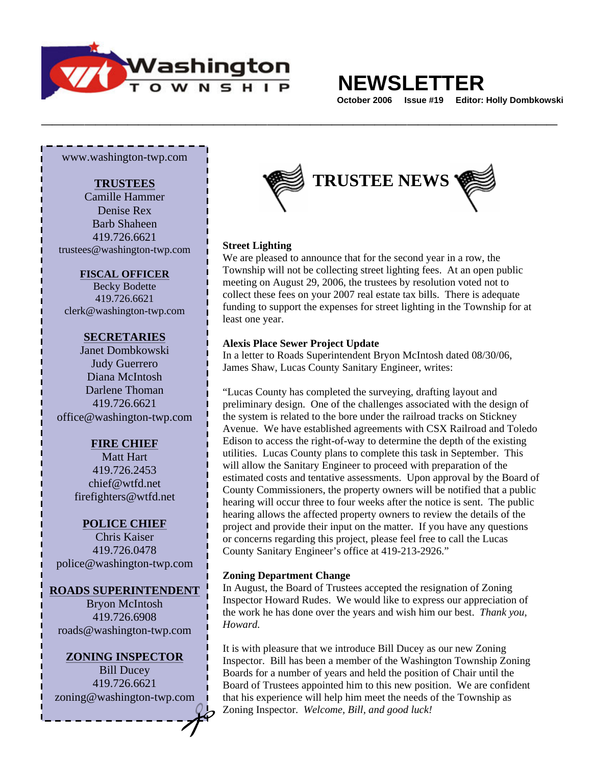

# **NEWSLETTER**

 **October 2006 Issue #19 Editor: Holly Dombkowski** 

www.washington-twp.com

#### **TRUSTEES**

Camille Hammer Denise Rex Barb Shaheen 419.726.6621 trustees@washington-twp.com

#### **FISCAL OFFICER**

Becky Bodette 419.726.6621 clerk@washington-twp.com

#### **SECRETARIES**

Janet Dombkowski Judy Guerrero Diana McIntosh Darlene Thoman 419.726.6621 office@washington-twp.com

## **FIRE CHIEF**

Matt Hart 419.726.2453 chief@wtfd.net firefighters@wtfd.net

#### **POLICE CHIEF**

Chris Kaiser 419.726.0478 police@washington-twp.com

#### **ROADS SUPERINTENDENT**

Bryon McIntosh 419.726.6908 roads@washington-twp.com

**ZONING INSPECTOR** Bill Ducey 419.726.6621 zoning@washington-twp.com



#### **Street Lighting**

We are pleased to announce that for the second year in a row, the Township will not be collecting street lighting fees. At an open public meeting on August 29, 2006, the trustees by resolution voted not to collect these fees on your 2007 real estate tax bills. There is adequate funding to support the expenses for street lighting in the Township for at least one year.

#### **Alexis Place Sewer Project Update**

**\_\_\_\_\_\_\_\_\_\_\_\_\_\_\_\_\_\_\_\_\_\_\_\_\_\_\_\_\_\_\_\_\_\_\_\_\_\_\_\_\_\_\_\_\_\_\_\_** 

In a letter to Roads Superintendent Bryon McIntosh dated 08/30/06, James Shaw, Lucas County Sanitary Engineer, writes:

"Lucas County has completed the surveying, drafting layout and preliminary design. One of the challenges associated with the design of the system is related to the bore under the railroad tracks on Stickney Avenue. We have established agreements with CSX Railroad and Toledo Edison to access the right-of-way to determine the depth of the existing utilities. Lucas County plans to complete this task in September. This will allow the Sanitary Engineer to proceed with preparation of the estimated costs and tentative assessments. Upon approval by the Board of County Commissioners, the property owners will be notified that a public hearing will occur three to four weeks after the notice is sent. The public hearing allows the affected property owners to review the details of the project and provide their input on the matter. If you have any questions or concerns regarding this project, please feel free to call the Lucas County Sanitary Engineer's office at 419-213-2926."

#### **Zoning Department Change**

In August, the Board of Trustees accepted the resignation of Zoning Inspector Howard Rudes. We would like to express our appreciation of the work he has done over the years and wish him our best. *Thank you, Howard.*

It is with pleasure that we introduce Bill Ducey as our new Zoning Inspector. Bill has been a member of the Washington Township Zoning Boards for a number of years and held the position of Chair until the Board of Trustees appointed him to this new position. We are confident that his experience will help him meet the needs of the Township as Zoning Inspector. *Welcome, Bill, and good luck!*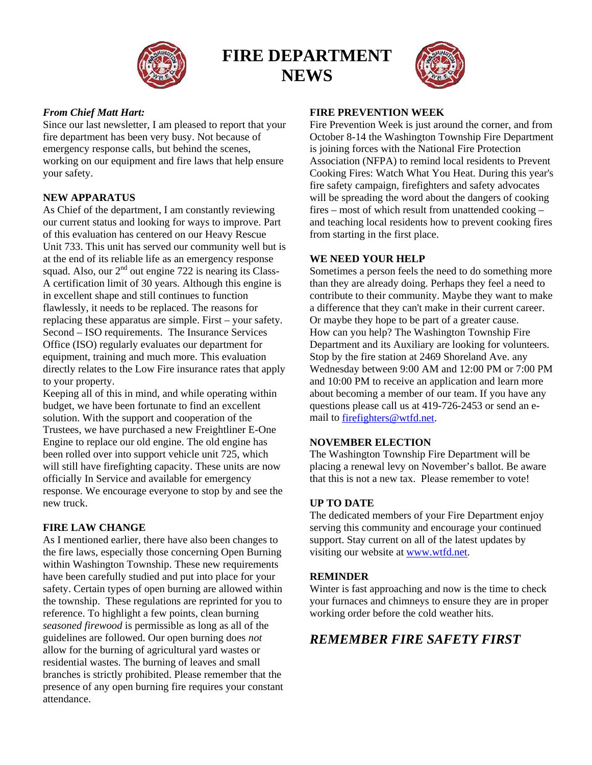

## **FIRE DEPARTMENT NEWS**



### *From Chief Matt Hart:*

Since our last newsletter, I am pleased to report that your fire department has been very busy. Not because of emergency response calls, but behind the scenes, working on our equipment and fire laws that help ensure your safety.

## **NEW APPARATUS**

As Chief of the department, I am constantly reviewing our current status and looking for ways to improve. Part of this evaluation has centered on our Heavy Rescue Unit 733. This unit has served our community well but is at the end of its reliable life as an emergency response squad. Also, our  $2<sup>nd</sup>$  out engine 722 is nearing its Class-A certification limit of 30 years. Although this engine is in excellent shape and still continues to function flawlessly, it needs to be replaced. The reasons for replacing these apparatus are simple. First – your safety. Second – ISO requirements. The Insurance Services Office (ISO) regularly evaluates our department for equipment, training and much more. This evaluation directly relates to the Low Fire insurance rates that apply to your property.

Keeping all of this in mind, and while operating within budget, we have been fortunate to find an excellent solution. With the support and cooperation of the Trustees, we have purchased a new Freightliner E-One Engine to replace our old engine. The old engine has been rolled over into support vehicle unit 725, which will still have firefighting capacity. These units are now officially In Service and available for emergency response. We encourage everyone to stop by and see the new truck.

#### **FIRE LAW CHANGE**

As I mentioned earlier, there have also been changes to the fire laws, especially those concerning Open Burning within Washington Township. These new requirements have been carefully studied and put into place for your safety. Certain types of open burning are allowed within the township. These regulations are reprinted for you to reference. To highlight a few points, clean burning *seasoned firewood* is permissible as long as all of the guidelines are followed. Our open burning does *not* allow for the burning of agricultural yard wastes or residential wastes. The burning of leaves and small branches is strictly prohibited. Please remember that the presence of any open burning fire requires your constant attendance.

#### **FIRE PREVENTION WEEK**

Fire Prevention Week is just around the corner, and from October 8-14 the Washington Township Fire Department is joining forces with the National Fire Protection Association (NFPA) to remind local residents to Prevent Cooking Fires: Watch What You Heat. During this year's fire safety campaign, firefighters and safety advocates will be spreading the word about the dangers of cooking fires – most of which result from unattended cooking – and teaching local residents how to prevent cooking fires from starting in the first place.

#### **WE NEED YOUR HELP**

Sometimes a person feels the need to do something more than they are already doing. Perhaps they feel a need to contribute to their community. Maybe they want to make a difference that they can't make in their current career. Or maybe they hope to be part of a greater cause. How can you help? The Washington Township Fire Department and its Auxiliary are looking for volunteers. Stop by the fire station at 2469 Shoreland Ave. any Wednesday between 9:00 AM and 12:00 PM or 7:00 PM and 10:00 PM to receive an application and learn more about becoming a member of our team. If you have any questions please call us at 419-726-2453 or send an email to [firefighters@wtfd.net](mailto:firefighters@wtfd.net).

#### **NOVEMBER ELECTION**

The Washington Township Fire Department will be placing a renewal levy on November's ballot. Be aware that this is not a new tax. Please remember to vote!

#### **UP TO DATE**

The dedicated members of your Fire Department enjoy serving this community and encourage your continued support. Stay current on all of the latest updates by visiting our website at [www.wtfd.net](http://www.wtfd.net/).

#### **REMINDER**

Winter is fast approaching and now is the time to check your furnaces and chimneys to ensure they are in proper working order before the cold weather hits.

## *REMEMBER FIRE SAFETY FIRST*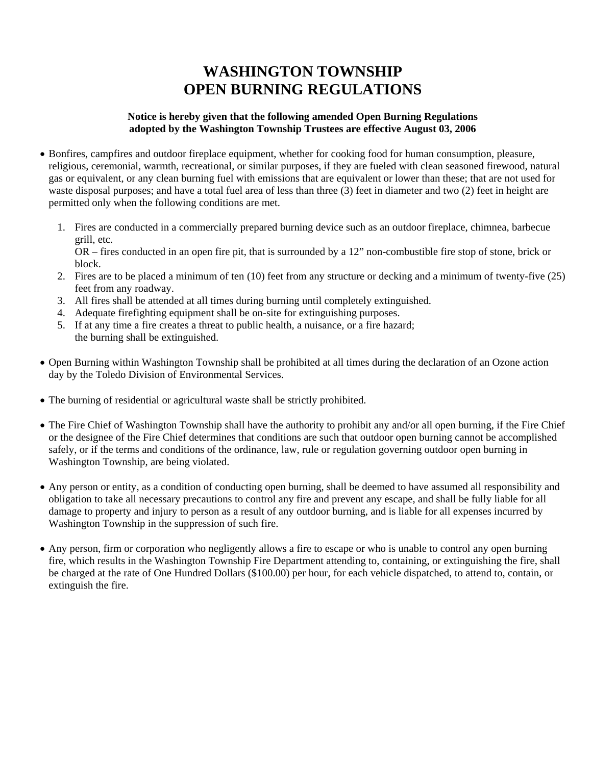## **WASHINGTON TOWNSHIP OPEN BURNING REGULATIONS**

#### **Notice is hereby given that the following amended Open Burning Regulations adopted by the Washington Township Trustees are effective August 03, 2006**

- Bonfires, campfires and outdoor fireplace equipment, whether for cooking food for human consumption, pleasure, religious, ceremonial, warmth, recreational, or similar purposes, if they are fueled with clean seasoned firewood, natural gas or equivalent, or any clean burning fuel with emissions that are equivalent or lower than these; that are not used for waste disposal purposes; and have a total fuel area of less than three (3) feet in diameter and two (2) feet in height are permitted only when the following conditions are met.
	- 1. Fires are conducted in a commercially prepared burning device such as an outdoor fireplace, chimnea, barbecue grill, etc.

OR – fires conducted in an open fire pit, that is surrounded by a 12" non-combustible fire stop of stone, brick or block.

- 2. Fires are to be placed a minimum of ten (10) feet from any structure or decking and a minimum of twenty-five (25) feet from any roadway.
- 3. All fires shall be attended at all times during burning until completely extinguished.
- 4. Adequate firefighting equipment shall be on-site for extinguishing purposes.
- 5. If at any time a fire creates a threat to public health, a nuisance, or a fire hazard; the burning shall be extinguished.
- Open Burning within Washington Township shall be prohibited at all times during the declaration of an Ozone action day by the Toledo Division of Environmental Services.
- The burning of residential or agricultural waste shall be strictly prohibited.
- The Fire Chief of Washington Township shall have the authority to prohibit any and/or all open burning, if the Fire Chief or the designee of the Fire Chief determines that conditions are such that outdoor open burning cannot be accomplished safely, or if the terms and conditions of the ordinance, law, rule or regulation governing outdoor open burning in Washington Township, are being violated.
- Any person or entity, as a condition of conducting open burning, shall be deemed to have assumed all responsibility and obligation to take all necessary precautions to control any fire and prevent any escape, and shall be fully liable for all damage to property and injury to person as a result of any outdoor burning, and is liable for all expenses incurred by Washington Township in the suppression of such fire.
- Any person, firm or corporation who negligently allows a fire to escape or who is unable to control any open burning fire, which results in the Washington Township Fire Department attending to, containing, or extinguishing the fire, shall be charged at the rate of One Hundred Dollars (\$100.00) per hour, for each vehicle dispatched, to attend to, contain, or extinguish the fire.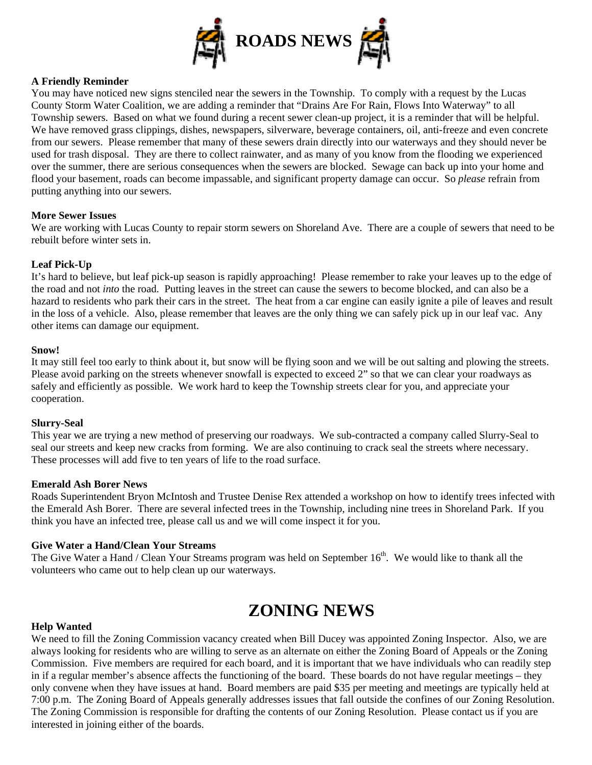

#### **A Friendly Reminder**

You may have noticed new signs stenciled near the sewers in the Township. To comply with a request by the Lucas County Storm Water Coalition, we are adding a reminder that "Drains Are For Rain, Flows Into Waterway" to all Township sewers. Based on what we found during a recent sewer clean-up project, it is a reminder that will be helpful. We have removed grass clippings, dishes, newspapers, silverware, beverage containers, oil, anti-freeze and even concrete from our sewers. Please remember that many of these sewers drain directly into our waterways and they should never be used for trash disposal. They are there to collect rainwater, and as many of you know from the flooding we experienced over the summer, there are serious consequences when the sewers are blocked. Sewage can back up into your home and flood your basement, roads can become impassable, and significant property damage can occur. So *please* refrain from putting anything into our sewers.

#### **More Sewer Issues**

We are working with Lucas County to repair storm sewers on Shoreland Ave. There are a couple of sewers that need to be rebuilt before winter sets in.

#### **Leaf Pick-Up**

It's hard to believe, but leaf pick-up season is rapidly approaching! Please remember to rake your leaves up to the edge of the road and not *into* the road. Putting leaves in the street can cause the sewers to become blocked, and can also be a hazard to residents who park their cars in the street. The heat from a car engine can easily ignite a pile of leaves and result in the loss of a vehicle. Also, please remember that leaves are the only thing we can safely pick up in our leaf vac. Any other items can damage our equipment.

#### **Snow!**

It may still feel too early to think about it, but snow will be flying soon and we will be out salting and plowing the streets. Please avoid parking on the streets whenever snowfall is expected to exceed 2" so that we can clear your roadways as safely and efficiently as possible. We work hard to keep the Township streets clear for you, and appreciate your cooperation.

#### **Slurry-Seal**

This year we are trying a new method of preserving our roadways. We sub-contracted a company called Slurry-Seal to seal our streets and keep new cracks from forming. We are also continuing to crack seal the streets where necessary. These processes will add five to ten years of life to the road surface.

#### **Emerald Ash Borer News**

Roads Superintendent Bryon McIntosh and Trustee Denise Rex attended a workshop on how to identify trees infected with the Emerald Ash Borer. There are several infected trees in the Township, including nine trees in Shoreland Park. If you think you have an infected tree, please call us and we will come inspect it for you.

#### **Give Water a Hand/Clean Your Streams**

The Give Water a Hand / Clean Your Streams program was held on September  $16<sup>th</sup>$ . We would like to thank all the volunteers who came out to help clean up our waterways.

## **ZONING NEWS**

#### **Help Wanted**

We need to fill the Zoning Commission vacancy created when Bill Ducey was appointed Zoning Inspector. Also, we are always looking for residents who are willing to serve as an alternate on either the Zoning Board of Appeals or the Zoning Commission. Five members are required for each board, and it is important that we have individuals who can readily step in if a regular member's absence affects the functioning of the board. These boards do not have regular meetings – they only convene when they have issues at hand. Board members are paid \$35 per meeting and meetings are typically held at 7:00 p.m. The Zoning Board of Appeals generally addresses issues that fall outside the confines of our Zoning Resolution. The Zoning Commission is responsible for drafting the contents of our Zoning Resolution. Please contact us if you are interested in joining either of the boards.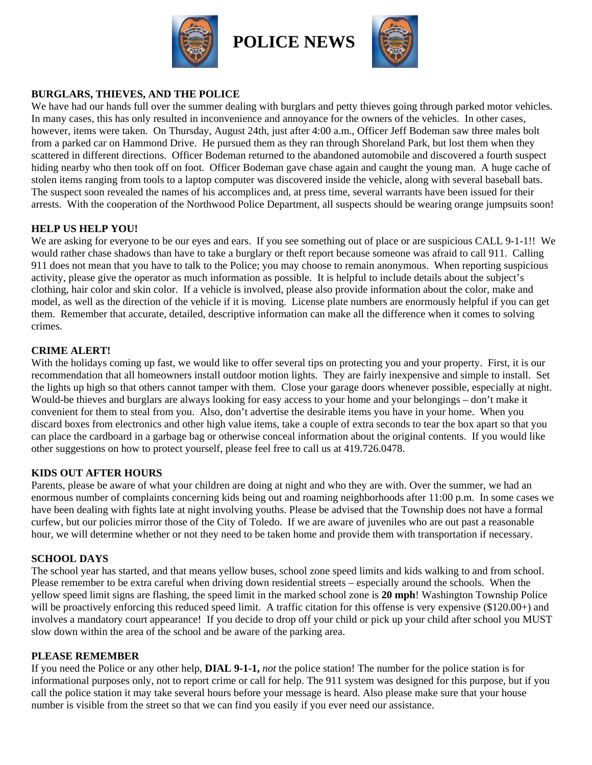



## **BURGLARS, THIEVES, AND THE POLICE**

We have had our hands full over the summer dealing with burglars and petty thieves going through parked motor vehicles. In many cases, this has only resulted in inconvenience and annoyance for the owners of the vehicles. In other cases, however, items were taken. On Thursday, August 24th, just after 4:00 a.m., Officer Jeff Bodeman saw three males bolt from a parked car on Hammond Drive. He pursued them as they ran through Shoreland Park, but lost them when they scattered in different directions. Officer Bodeman returned to the abandoned automobile and discovered a fourth suspect hiding nearby who then took off on foot. Officer Bodeman gave chase again and caught the young man. A huge cache of stolen items ranging from tools to a laptop computer was discovered inside the vehicle, along with several baseball bats. The suspect soon revealed the names of his accomplices and, at press time, several warrants have been issued for their arrests. With the cooperation of the Northwood Police Department, all suspects should be wearing orange jumpsuits soon!

## **HELP US HELP YOU!**

We are asking for everyone to be our eyes and ears. If you see something out of place or are suspicious CALL 9-1-1!! We would rather chase shadows than have to take a burglary or theft report because someone was afraid to call 911. Calling 911 does not mean that you have to talk to the Police; you may choose to remain anonymous. When reporting suspicious activity, please give the operator as much information as possible. It is helpful to include details about the subject's clothing, hair color and skin color. If a vehicle is involved, please also provide information about the color, make and model, as well as the direction of the vehicle if it is moving. License plate numbers are enormously helpful if you can get them. Remember that accurate, detailed, descriptive information can make all the difference when it comes to solving crimes.

## **CRIME ALERT!**

With the holidays coming up fast, we would like to offer several tips on protecting you and your property. First, it is our recommendation that all homeowners install outdoor motion lights. They are fairly inexpensive and simple to install. Set the lights up high so that others cannot tamper with them. Close your garage doors whenever possible, especially at night. Would-be thieves and burglars are always looking for easy access to your home and your belongings – don't make it convenient for them to steal from you. Also, don't advertise the desirable items you have in your home. When you discard boxes from electronics and other high value items, take a couple of extra seconds to tear the box apart so that you can place the cardboard in a garbage bag or otherwise conceal information about the original contents. If you would like other suggestions on how to protect yourself, please feel free to call us at 419.726.0478.

## **KIDS OUT AFTER HOURS**

Parents, please be aware of what your children are doing at night and who they are with. Over the summer, we had an enormous number of complaints concerning kids being out and roaming neighborhoods after 11:00 p.m. In some cases we have been dealing with fights late at night involving youths. Please be advised that the Township does not have a formal curfew, but our policies mirror those of the City of Toledo. If we are aware of juveniles who are out past a reasonable hour, we will determine whether or not they need to be taken home and provide them with transportation if necessary.

## **SCHOOL DAYS**

The school year has started, and that means yellow buses, school zone speed limits and kids walking to and from school. Please remember to be extra careful when driving down residential streets – especially around the schools. When the yellow speed limit signs are flashing, the speed limit in the marked school zone is **20 mph**! Washington Township Police will be proactively enforcing this reduced speed limit. A traffic citation for this offense is very expensive (\$120.00+) and involves a mandatory court appearance! If you decide to drop off your child or pick up your child after school you MUST slow down within the area of the school and be aware of the parking area.

## **PLEASE REMEMBER**

If you need the Police or any other help, **DIAL 9-1-1,** *not* the police station! The number for the police station is for informational purposes only, not to report crime or call for help. The 911 system was designed for this purpose, but if you call the police station it may take several hours before your message is heard. Also please make sure that your house number is visible from the street so that we can find you easily if you ever need our assistance.